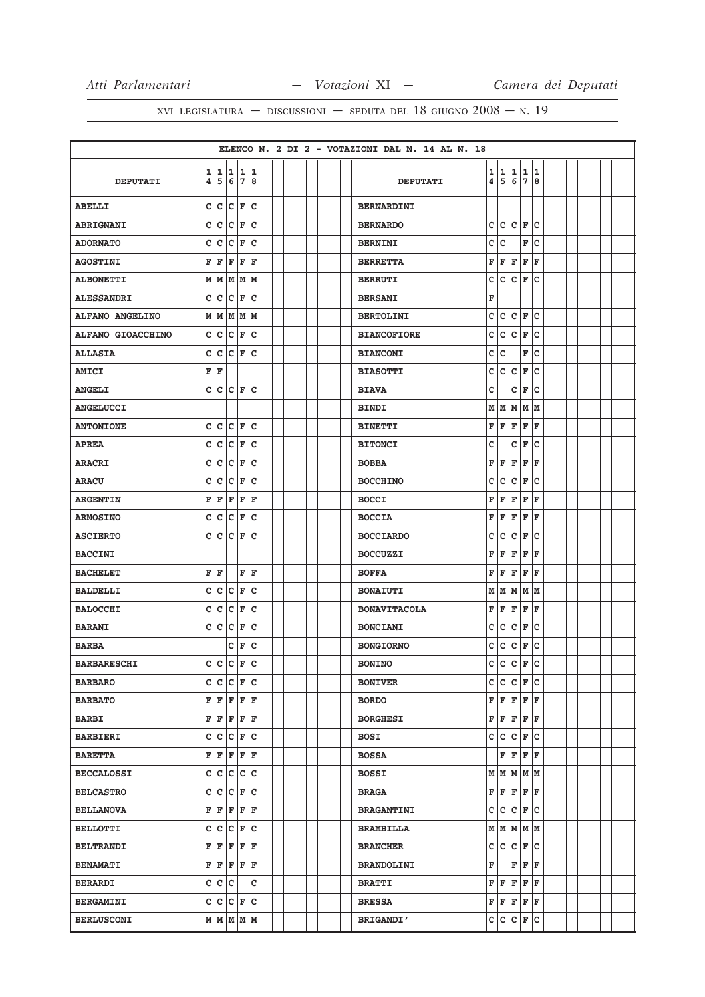|                    |              |                |             |                      |              |  |  |  |  | ELENCO N. 2 DI 2 - VOTAZIONI DAL N. 14 AL N. 18 |        |                 |        |                         |        |  |  |  |  |
|--------------------|--------------|----------------|-------------|----------------------|--------------|--|--|--|--|-------------------------------------------------|--------|-----------------|--------|-------------------------|--------|--|--|--|--|
| <b>DEPUTATI</b>    | 1<br>4       |                | 11          | 11<br>5678           |              |  |  |  |  | <b>DEPUTATI</b>                                 | 1<br>4 | 1<br>5          | 1<br>6 | $\mathbf{1}$<br>7       | 1<br>8 |  |  |  |  |
| ABELLI             | c            | c              | C           | F                    | C            |  |  |  |  | <b>BERNARDINI</b>                               |        |                 |        |                         |        |  |  |  |  |
| <b>ABRIGNANI</b>   | C            | c              | c           | F                    | c            |  |  |  |  | <b>BERNARDO</b>                                 | c      | C C F           |        |                         | lc     |  |  |  |  |
| <b>ADORNATO</b>    | c            | с              | с           | F                    | c            |  |  |  |  | <b>BERNINI</b>                                  | c      | c               |        | F                       | c      |  |  |  |  |
| <b>AGOSTINI</b>    | F            | F              | F           | F                    | F            |  |  |  |  | <b>BERRETTA</b>                                 | F      | F               | F      | F                       | F      |  |  |  |  |
| <b>ALBONETTI</b>   | M            | M              | M           | M                    | lм           |  |  |  |  | <b>BERRUTI</b>                                  | C      | lc.             | lc.    | F                       | lc     |  |  |  |  |
| <b>ALESSANDRI</b>  | $\mathtt{C}$ | c              | c           | F                    | C            |  |  |  |  | <b>BERSANI</b>                                  | F      |                 |        |                         |        |  |  |  |  |
| ALFANO ANGELINO    | М            |                |             | MMMM                 |              |  |  |  |  | <b>BERTOLINI</b>                                | c      | lc.             | Iс     | F                       | lc     |  |  |  |  |
| ALFANO GIOACCHINO  | c            | c              | C           | F                    | c            |  |  |  |  | <b>BIANCOFIORE</b>                              | c      | c               | c      | F                       | c      |  |  |  |  |
| <b>ALLASIA</b>     | с            | c              | lc.         | F                    | c            |  |  |  |  | <b>BIANCONI</b>                                 | c      | c               |        | F                       | lc     |  |  |  |  |
| <b>AMICI</b>       | F            | F              |             |                      |              |  |  |  |  | <b>BIASOTTI</b>                                 | с      | c               | c      | F                       | c      |  |  |  |  |
| <b>ANGELI</b>      | c            |                | C C F       |                      | lc           |  |  |  |  | <b>BIAVA</b>                                    | C      |                 | c      | F                       | lc     |  |  |  |  |
| <b>ANGELUCCI</b>   |              |                |             |                      |              |  |  |  |  | BINDI                                           | М      | M               | M      | M                       | M      |  |  |  |  |
| <b>ANTONIONE</b>   | c            | c              |             | $ {\bf C}  {\bf F} $ | c            |  |  |  |  | <b>BINETTI</b>                                  | F      | F               | F      | F                       | F      |  |  |  |  |
| <b>APREA</b>       | C            | c              | c           | F                    | c            |  |  |  |  | <b>BITONCI</b>                                  | c      |                 | с      | F                       | Ιc     |  |  |  |  |
| <b>ARACRI</b>      | C            | c              | c           | F                    | c            |  |  |  |  | <b>BOBBA</b>                                    | F      | F               | F      | F                       | F      |  |  |  |  |
| <b>ARACU</b>       | c            | c              | c           | F                    | C            |  |  |  |  | <b>BOCCHINO</b>                                 | с      | lc.             | Iс     | F                       | ١c     |  |  |  |  |
| <b>ARGENTIN</b>    | F            | F              | F           | F                    | F            |  |  |  |  | <b>BOCCI</b>                                    | F      | F               | F      | F                       | F      |  |  |  |  |
| <b>ARMOSINO</b>    | C            | c              | c           | F                    | c            |  |  |  |  | <b>BOCCIA</b>                                   | F      | F               | F      | F                       | F      |  |  |  |  |
| <b>ASCIERTO</b>    | c            | c              | c           | F                    | c            |  |  |  |  | <b>BOCCIARDO</b>                                | C      | c               | c      | F                       | c      |  |  |  |  |
| <b>BACCINI</b>     |              |                |             |                      |              |  |  |  |  | <b>BOCCUZZI</b>                                 | F      | F               | F      | F                       | F      |  |  |  |  |
| <b>BACHELET</b>    | F            | F              |             | F                    | F            |  |  |  |  | <b>BOFFA</b>                                    | F      | F               | F      | F                       | F      |  |  |  |  |
| <b>BALDELLI</b>    | c            | c              | c           | F                    | C            |  |  |  |  | <b>BONAIUTI</b>                                 | М      | M               | M      | MM                      |        |  |  |  |  |
| <b>BALOCCHI</b>    | c            | C              | c           | F                    | c            |  |  |  |  | <b>BONAVITACOLA</b>                             | F      | F               | F      | F                       | F      |  |  |  |  |
| <b>BARANI</b>      | $\mathbf{C}$ | c              | C           | F                    | c            |  |  |  |  | <b>BONCIANI</b>                                 | c      | c               | c      | F                       | Ιc     |  |  |  |  |
| <b>BARBA</b>       |              |                | с           | F                    | c            |  |  |  |  | <b>BONGIORNO</b>                                | C      | c               | c      | F                       | lc     |  |  |  |  |
| <b>BARBARESCHI</b> | $\mathbf{C}$ | $\overline{c}$ | $\mathbf c$ | F                    | $\mathbf{C}$ |  |  |  |  | <b>BONINO</b>                                   | Ċ      | lc.             | c      | $\overline{\mathbf{F}}$ | lc.    |  |  |  |  |
| <b>BARBARO</b>     |              |                |             | $c c c _F c$         |              |  |  |  |  | <b>BONIVER</b>                                  | c      | lc.             |        | $ C $ $\mathbf{F} C$    |        |  |  |  |  |
| <b>BARBATO</b>     | F            |                |             | $F$ $F$ $F$ $F$      |              |  |  |  |  | <b>BORDO</b>                                    | F      | $F$ $F$ $F$ $F$ |        |                         |        |  |  |  |  |
| <b>BARBI</b>       |              | F F            |             | F F F                |              |  |  |  |  | <b>BORGHESI</b>                                 | F      | F               | F      | $F$ $F$                 |        |  |  |  |  |
| <b>BARBIERI</b>    |              |                |             | C C C F C            |              |  |  |  |  | BOSI                                            |        | C C C F C       |        |                         |        |  |  |  |  |
| <b>BARETTA</b>     | F            |                | F F         | F                    | F            |  |  |  |  | <b>BOSSA</b>                                    |        | F               |        | F F F                   |        |  |  |  |  |
| <b>BECCALOSSI</b>  |              |                |             | c c c c c            |              |  |  |  |  | <b>BOSSI</b>                                    |        | $M$ $M$ $M$ $M$ |        |                         |        |  |  |  |  |
| <b>BELCASTRO</b>   |              |                |             | c c c F c            |              |  |  |  |  | <b>BRAGA</b>                                    |        | F F F F F       |        |                         |        |  |  |  |  |
| <b>BELLANOVA</b>   |              |                |             | F F F F F            |              |  |  |  |  | <b>BRAGANTINI</b>                               |        | C C C F C       |        |                         |        |  |  |  |  |
| <b>BELLOTTI</b>    |              |                |             | C C C F C            |              |  |  |  |  | <b>BRAMBILLA</b>                                |        | $M$ $M$ $M$ $M$ |        |                         |        |  |  |  |  |
| <b>BELTRANDI</b>   | F            | F              |             | $F$ $F$ $F$          |              |  |  |  |  | <b>BRANCHER</b>                                 |        | C C C F C       |        |                         |        |  |  |  |  |
| <b>BENAMATI</b>    |              |                |             | F F F F F            |              |  |  |  |  | <b>BRANDOLINI</b>                               | F      |                 |        | $F$ $F$ $F$             |        |  |  |  |  |
| <b>BERARDI</b>     | c            |                | c c         |                      | C            |  |  |  |  | <b>BRATTI</b>                                   | F      | F               |        | $F$ $F$                 | lF.    |  |  |  |  |
| <b>BERGAMINI</b>   |              |                |             | c c c F c            |              |  |  |  |  | <b>BRESSA</b>                                   |        | F F F F F       |        |                         |        |  |  |  |  |
| <b>BERLUSCONI</b>  |              |                |             | $M$ $M$ $M$ $M$ $M$  |              |  |  |  |  | <b>BRIGANDI'</b>                                |        | C C C F C       |        |                         |        |  |  |  |  |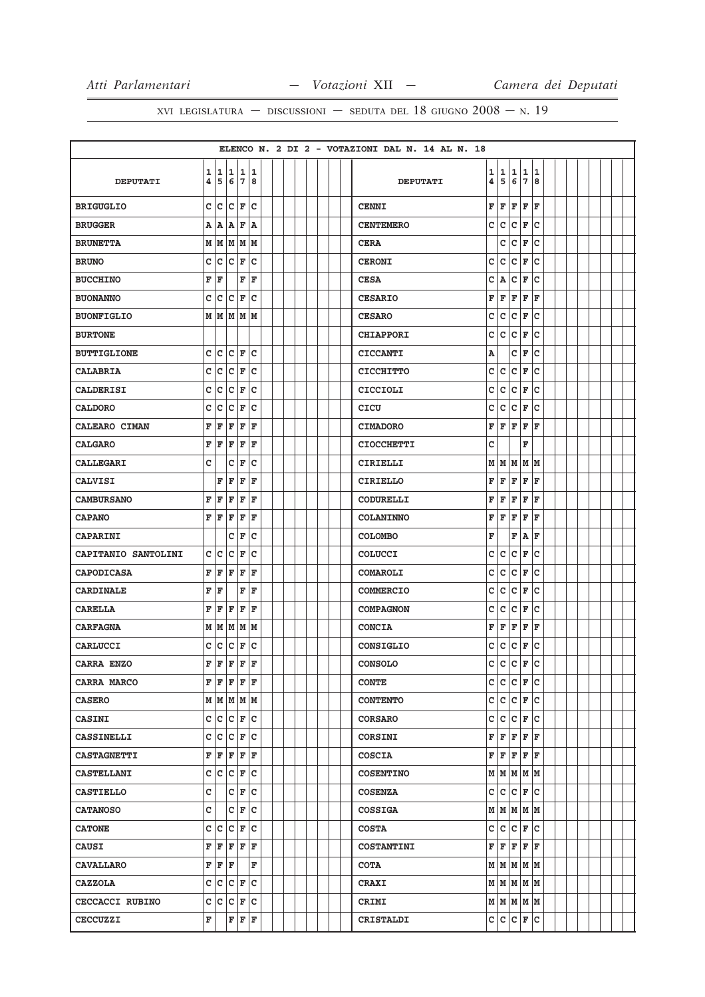|                     |              |       |                                                        |                        |             |  |  |  |  | ELENCO N. 2 DI 2 - VOTAZIONI DAL N. 14 AL N. 18 |   |                     |     |                      |     |  |  |  |  |
|---------------------|--------------|-------|--------------------------------------------------------|------------------------|-------------|--|--|--|--|-------------------------------------------------|---|---------------------|-----|----------------------|-----|--|--|--|--|
|                     | 1            | 1     | 1                                                      |                        | 1 1         |  |  |  |  |                                                 | 1 | 1                   | 1   | 1                    | 1   |  |  |  |  |
| <b>DEPUTATI</b>     | 4            | 5     |                                                        | 678                    |             |  |  |  |  | <b>DEPUTATI</b>                                 | 4 | 5                   | 6   | 7                    | 8   |  |  |  |  |
| <b>BRIGUGLIO</b>    | $\mathsf{c}$ | c     |                                                        | $ {\boldsymbol{c}} $ F | lc.         |  |  |  |  | <b>CENNI</b>                                    | F | F                   | F   | F                    | F   |  |  |  |  |
| <b>BRUGGER</b>      |              | A   A | A F                                                    |                        | A           |  |  |  |  | <b>CENTEMERO</b>                                | c | c                   | c   | F                    | c   |  |  |  |  |
| <b>BRUNETTA</b>     |              |       |                                                        | M   M   M   M   M      |             |  |  |  |  | <b>CERA</b>                                     |   | c                   | c   | F                    | c   |  |  |  |  |
| <b>BRUNO</b>        | c            | c     |                                                        | $ {\bf C}  {\bf F} $   | lc.         |  |  |  |  | <b>CERONI</b>                                   | C | c                   | c   | F                    | c   |  |  |  |  |
| <b>BUCCHINO</b>     | F            | F     |                                                        | F                      | F           |  |  |  |  | <b>CESA</b>                                     | c | Α                   | C   | F                    | c   |  |  |  |  |
| <b>BUONANNO</b>     | c            | c     | c                                                      | F                      | C           |  |  |  |  | <b>CESARIO</b>                                  | F | F                   | F   | F                    | F   |  |  |  |  |
| <b>BUONFIGLIO</b>   |              |       |                                                        | M   M   M   M   M      |             |  |  |  |  | <b>CESARO</b>                                   | C | c                   | c   | F                    | lc. |  |  |  |  |
| <b>BURTONE</b>      |              |       |                                                        |                        |             |  |  |  |  | <b>CHIAPPORI</b>                                | c | c                   | c   | F                    | c   |  |  |  |  |
| <b>BUTTIGLIONE</b>  | c            | c     |                                                        | $ {\tt C}\, $ F        | lc.         |  |  |  |  | <b>CICCANTI</b>                                 | Α |                     | с   | F                    | c   |  |  |  |  |
| <b>CALABRIA</b>     |              | c c   |                                                        | $ {\bf C}  {\bf F} $   | c           |  |  |  |  | <b>CICCHITTO</b>                                | c | c                   | c   | F                    | c   |  |  |  |  |
| <b>CALDERISI</b>    | c            | c     |                                                        | $ {\bf C}  {\bf F} $   | Iс          |  |  |  |  | <b>CICCIOLI</b>                                 | с | c                   | c   | F                    | c   |  |  |  |  |
| <b>CALDORO</b>      | c            | c     | c                                                      | F                      | C           |  |  |  |  | CICU                                            | с | c                   | c   | F                    | c   |  |  |  |  |
| CALEARO CIMAN       | F            | F     | F                                                      | F                      | ΙF          |  |  |  |  | <b>CIMADORO</b>                                 | F | F                   | F   | F                    | F   |  |  |  |  |
| <b>CALGARO</b>      | F            | F     | F                                                      | F                      | F           |  |  |  |  | <b>CIOCCHETTI</b>                               | c |                     |     | F                    |     |  |  |  |  |
| <b>CALLEGARI</b>    | c            |       | c                                                      | F                      | c           |  |  |  |  | CIRIELLI                                        | М | M                   | lм  | M  M                 |     |  |  |  |  |
| <b>CALVISI</b>      |              | F     | F                                                      | F                      | ΙF          |  |  |  |  | <b>CIRIELLO</b>                                 | F | F                   | F   | F                    | F   |  |  |  |  |
| <b>CAMBURSANO</b>   | F            | F     | F                                                      | F                      | F           |  |  |  |  | <b>CODURELLI</b>                                | F | F                   | F   | F                    | F   |  |  |  |  |
| <b>CAPANO</b>       |              | FF    | F                                                      | F                      | F           |  |  |  |  | <b>COLANINNO</b>                                | F | F                   | F   | F                    | F   |  |  |  |  |
| <b>CAPARINI</b>     |              |       | c                                                      | F                      | c           |  |  |  |  | <b>COLOMBO</b>                                  | F |                     | F   | $\, {\bf A}$         | F   |  |  |  |  |
| CAPITANIO SANTOLINI |              | c c   | c                                                      | F                      | C           |  |  |  |  | COLUCCI                                         | C | c                   | lc. | F                    | c   |  |  |  |  |
| <b>CAPODICASA</b>   | F            | F     | F                                                      | F                      | F           |  |  |  |  | <b>COMAROLI</b>                                 | c | c                   | c   | F                    | c   |  |  |  |  |
| <b>CARDINALE</b>    | F            | İF    |                                                        | F                      | F           |  |  |  |  | <b>COMMERCIO</b>                                | c | c                   | c   | F                    | c   |  |  |  |  |
| <b>CARELLA</b>      | F            | F     | F                                                      | F                      | F           |  |  |  |  | <b>COMPAGNON</b>                                | с | c                   | c   | F                    | c   |  |  |  |  |
| <b>CARFAGNA</b>     |              | MN    |                                                        | MMM                    |             |  |  |  |  | <b>CONCIA</b>                                   | F | F                   | F   | F                    | F   |  |  |  |  |
| CARLUCCI            | c            | c     | c                                                      | F                      | c           |  |  |  |  | CONSIGLIO                                       | с | c                   | c   | F                    | lc. |  |  |  |  |
| CARRA ENZO          |              |       | fre                                                    | F                      | $\mathbf F$ |  |  |  |  | <b>CONSOLO</b>                                  | c | $\mathtt{c}$        | c   | $\mathbf F$          | c   |  |  |  |  |
| CARRA MARCO         |              |       |                                                        | F F F F F              |             |  |  |  |  | <b>CONTE</b>                                    |   | C C C F C           |     |                      |     |  |  |  |  |
| <b>CASERO</b>       |              |       |                                                        | M   M   M   M          |             |  |  |  |  | <b>CONTENTO</b>                                 |   | c c                 |     | $ {\bf C}  {\bf F} $ | c   |  |  |  |  |
| <b>CASINI</b>       |              |       |                                                        | C C C F C              |             |  |  |  |  | <b>CORSARO</b>                                  | c | lc.                 | lc. | F                    | lc. |  |  |  |  |
| <b>CASSINELLI</b>   |              |       |                                                        | C C F C                |             |  |  |  |  | CORSINI                                         | F | $F$ $F$ $F$ $F$     |     |                      |     |  |  |  |  |
| <b>CASTAGNETTI</b>  |              |       |                                                        | F F F F F              |             |  |  |  |  | <b>COSCIA</b>                                   | F | F                   | F   | F                    | lF. |  |  |  |  |
| <b>CASTELLANI</b>   |              |       |                                                        | c c c F c              |             |  |  |  |  | <b>COSENTINO</b>                                |   | $M$ $M$ $M$ $M$     |     |                      |     |  |  |  |  |
| <b>CASTIELLO</b>    | c            |       |                                                        | $C \vert F \vert C$    |             |  |  |  |  | <b>COSENZA</b>                                  | c | c                   | c   | F                    | lc. |  |  |  |  |
| <b>CATANOSO</b>     | c            |       |                                                        | $C \mid F \mid C$      |             |  |  |  |  | <b>COSSIGA</b>                                  |   | $M$ $M$ $M$ $M$     |     |                      |     |  |  |  |  |
| <b>CATONE</b>       |              |       |                                                        | C C C F C              |             |  |  |  |  | <b>COSTA</b>                                    |   | C C C F C           |     |                      |     |  |  |  |  |
| <b>CAUSI</b>        |              |       |                                                        | F F F F F              |             |  |  |  |  | <b>COSTANTINI</b>                               | F | F                   | lF. | lF.                  | lF. |  |  |  |  |
| <b>CAVALLARO</b>    |              |       | $\mathbf{F} \parallel \mathbf{F} \parallel \mathbf{F}$ |                        | F           |  |  |  |  | <b>COTA</b>                                     |   | $M$ $M$ $M$ $M$     |     |                      |     |  |  |  |  |
| <b>CAZZOLA</b>      |              |       |                                                        | $c c c _F c$           |             |  |  |  |  | <b>CRAXI</b>                                    |   | $M$ $M$ $M$ $M$ $M$ |     |                      |     |  |  |  |  |
| CECCACCI RUBINO     |              |       |                                                        | C C C F C              |             |  |  |  |  | CRIMI                                           |   | $M$ $M$ $M$ $M$     |     |                      |     |  |  |  |  |
| <b>CECCUZZI</b>     | F            |       |                                                        | F F F                  |             |  |  |  |  | <b>CRISTALDI</b>                                |   | C C C F C           |     |                      |     |  |  |  |  |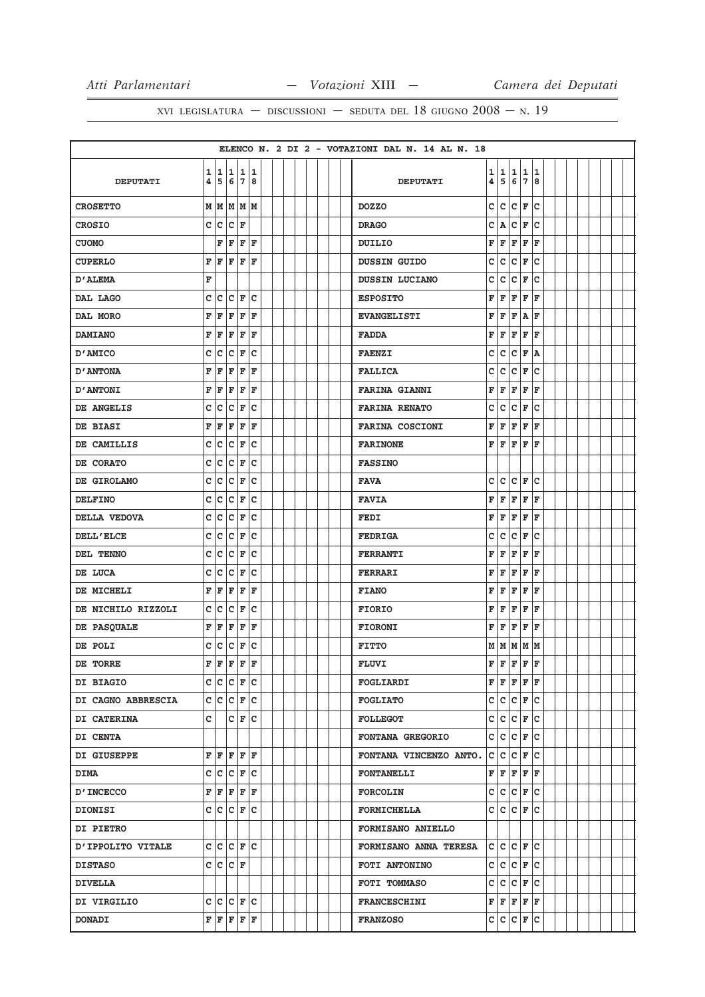|                    |             |                         |                                                                                        |                          |            |  |  |  |  | ELENCO N. 2 DI 2 - VOTAZIONI DAL N. 14 AL N. 18 |                         |                                           |        |         |              |  |  |  |  |
|--------------------|-------------|-------------------------|----------------------------------------------------------------------------------------|--------------------------|------------|--|--|--|--|-------------------------------------------------|-------------------------|-------------------------------------------|--------|---------|--------------|--|--|--|--|
| <b>DEPUTATI</b>    | 4           |                         | 1 1 1 1 1<br>5 6 7 8                                                                   |                          |            |  |  |  |  | <b>DEPUTATI</b>                                 | 4                       | 1 1<br>5                                  | 1<br>6 | 1<br>7  | 11<br>8      |  |  |  |  |
| <b>CROSETTO</b>    |             | мIм                     |                                                                                        | MMM                      |            |  |  |  |  | <b>DOZZO</b>                                    | c                       | lc.                                       | c      | F       | ١c           |  |  |  |  |
| <b>CROSIO</b>      |             |                         | $c c c _F$                                                                             |                          |            |  |  |  |  | <b>DRAGO</b>                                    | c                       | ۱A                                        | c      | F       | lc           |  |  |  |  |
| <b>CUOMO</b>       |             | F                       | F                                                                                      | F                        | F          |  |  |  |  | DUILIO                                          | F                       | F                                         | F      | F       | F            |  |  |  |  |
| <b>CUPERLO</b>     | F           | F                       | F                                                                                      | lF.                      | F          |  |  |  |  | <b>DUSSIN GUIDO</b>                             | c                       | c                                         | c      | F       | lc           |  |  |  |  |
| <b>D'ALEMA</b>     | F           |                         |                                                                                        |                          |            |  |  |  |  | DUSSIN LUCIANO                                  | C                       | lc.                                       | c      | F       | lc           |  |  |  |  |
| DAL LAGO           | $\mathbf c$ |                         | c c                                                                                    | F                        | c          |  |  |  |  | <b>ESPOSITO</b>                                 | F                       | F                                         | F      | F       | F            |  |  |  |  |
| DAL MORO           | F           | F                       | F                                                                                      | F                        | F          |  |  |  |  | <b>EVANGELISTI</b>                              | F                       | F                                         | F      | $A$ $F$ |              |  |  |  |  |
| <b>DAMIANO</b>     | F           | F                       | F                                                                                      | F                        | ΙF         |  |  |  |  | <b>FADDA</b>                                    | F                       | F                                         | F      | F       | F            |  |  |  |  |
| D'AMICO            | с           | lc.                     | c                                                                                      | F                        | c          |  |  |  |  | <b>FAENZI</b>                                   | с                       | lc.                                       | lc.    | F       | ١A           |  |  |  |  |
| <b>D'ANTONA</b>    | F           | F                       | F                                                                                      | F                        | F          |  |  |  |  | <b>FALLICA</b>                                  | c                       | c                                         | c      | F       | Ιc           |  |  |  |  |
| <b>D'ANTONI</b>    | F           | F                       | F                                                                                      | F                        | F          |  |  |  |  | <b>FARINA GIANNI</b>                            | F                       | F                                         | F      | F       | ١F           |  |  |  |  |
| DE ANGELIS         | c           | $\overline{\mathsf{c}}$ | c                                                                                      | F                        | C          |  |  |  |  | <b>FARINA RENATO</b>                            | c                       | lc.                                       | c      | F       | lc           |  |  |  |  |
| DE BIASI           | F           | F                       | $\mathbf{F}$                                                                           | F                        | l F        |  |  |  |  | <b>FARINA COSCIONI</b>                          | F                       | F                                         | F      | F       | ΙF           |  |  |  |  |
| DE CAMILLIS        | c           | c                       |                                                                                        | C F                      | c          |  |  |  |  | <b>FARINONE</b>                                 | F                       | F                                         | F      | F       | ΙF           |  |  |  |  |
| DE CORATO          | c           | c                       | c                                                                                      | F                        | c          |  |  |  |  | <b>FASSINO</b>                                  |                         |                                           |        |         |              |  |  |  |  |
| DE GIROLAMO        | с           |                         | c c                                                                                    | F                        | lc         |  |  |  |  | <b>FAVA</b>                                     | c                       | lc.                                       | lc.    | F       | lc           |  |  |  |  |
| <b>DELFINO</b>     | c           | $\overline{\mathsf{c}}$ | c                                                                                      | F                        | c          |  |  |  |  | <b>FAVIA</b>                                    | F                       | F                                         | F      | F       | F            |  |  |  |  |
| DELLA VEDOVA       | c           | c                       | c                                                                                      | F                        | c          |  |  |  |  | FEDI                                            | $\mathbf F$             | F                                         | F      | F       | l F          |  |  |  |  |
| DELL'ELCE          | c           | c                       | c                                                                                      | F                        | c          |  |  |  |  | <b>FEDRIGA</b>                                  | C                       | lc.                                       | c      | F       | lc           |  |  |  |  |
| DEL TENNO          | c           | $\bar{\mathbf{C}}$      | lc.                                                                                    | lF.                      | c          |  |  |  |  | <b>FERRANTI</b>                                 | F                       | F                                         | F      | F       | ΙF           |  |  |  |  |
| DE LUCA            | c           | c                       | c                                                                                      | F                        | c          |  |  |  |  | <b>FERRARI</b>                                  | F                       | F                                         | F      | F       | ΙF           |  |  |  |  |
| DE MICHELI         | F           | lF                      | l F                                                                                    | lF                       | ΙF         |  |  |  |  | <b>FIANO</b>                                    | F                       | F                                         | F      | F       | F            |  |  |  |  |
| DE NICHILO RIZZOLI | c           |                         | c c                                                                                    | F                        | lc         |  |  |  |  | <b>FIORIO</b>                                   | F                       | F                                         | F      | F       | F            |  |  |  |  |
| DE PASQUALE        | F           | F                       | F                                                                                      | F                        | F          |  |  |  |  | <b>FIORONI</b>                                  | F                       | F                                         | F      | F       | F            |  |  |  |  |
| DE POLI            | c           |                         | $ c c _F$                                                                              |                          | $ {\rm c}$ |  |  |  |  | <b>FITTO</b>                                    |                         | $M$ $M$ $M$ $M$ $M$                       |        |         |              |  |  |  |  |
| DE TORRE           | F.          | F                       | F                                                                                      | $\hat{\mathbf{F}}$       | ١F         |  |  |  |  | <b>FLUVI</b>                                    | $\overline{\mathbf{F}}$ | F F                                       |        | F       | ١F           |  |  |  |  |
| <b>DI BIAGIO</b>   |             |                         | $c c c _F c$                                                                           |                          |            |  |  |  |  | <b>FOGLIARDI</b>                                |                         | ${\bf F}$ $\bf F$ $\bf F$ $\bf F$ $\bf F$ |        |         |              |  |  |  |  |
| DI CAGNO ABBRESCIA |             |                         | $c c c _F c$                                                                           |                          |            |  |  |  |  | <b>FOGLIATO</b>                                 |                         |                                           |        |         | $c c c _F c$ |  |  |  |  |
| <b>DI CATERINA</b> | c           |                         |                                                                                        | $ C $ $\mathbf{F}$ $ C $ |            |  |  |  |  | <b>FOLLEGOT</b>                                 |                         |                                           |        |         | C C C F C    |  |  |  |  |
| <b>DI CENTA</b>    |             |                         |                                                                                        |                          |            |  |  |  |  | <b>FONTANA GREGORIO</b>                         |                         |                                           |        |         | c c c F c    |  |  |  |  |
| DI GIUSEPPE        |             |                         | F F F F F                                                                              |                          |            |  |  |  |  | FONTANA VINCENZO ANTO.                          |                         | $ c c c _F c$                             |        |         |              |  |  |  |  |
| <b>DIMA</b>        |             |                         | $c c c _F c$                                                                           |                          |            |  |  |  |  | <b>FONTANELLI</b>                               |                         | F F F F F                                 |        |         |              |  |  |  |  |
| <b>D'INCECCO</b>   |             |                         | F F F F F                                                                              |                          |            |  |  |  |  | <b>FORCOLIN</b>                                 |                         |                                           |        |         | $c c c _F c$ |  |  |  |  |
| DIONISI            |             |                         | $c c c _F c$                                                                           |                          |            |  |  |  |  | <b>FORMICHELLA</b>                              |                         | $c c c _F c$                              |        |         |              |  |  |  |  |
| <b>DI PIETRO</b>   |             |                         |                                                                                        |                          |            |  |  |  |  | <b>FORMISANO ANIELLO</b>                        |                         |                                           |        |         |              |  |  |  |  |
| D'IPPOLITO VITALE  |             |                         | C C C F C                                                                              |                          |            |  |  |  |  | <b>FORMISANO ANNA TERESA</b>                    |                         | $ c c c _F c $                            |        |         |              |  |  |  |  |
| <b>DISTASO</b>     |             |                         | C C C F                                                                                |                          |            |  |  |  |  | FOTI ANTONINO                                   |                         | C C C F C                                 |        |         |              |  |  |  |  |
| <b>DIVELLA</b>     |             |                         |                                                                                        |                          |            |  |  |  |  | FOTI TOMMASO                                    |                         | c c c F c                                 |        |         |              |  |  |  |  |
| DI VIRGILIO        |             |                         | C C C F C                                                                              |                          |            |  |  |  |  | <b>FRANCESCHINI</b>                             |                         | F F F F F                                 |        |         |              |  |  |  |  |
| <b>DONADI</b>      |             |                         | $\mathbf{F} \left  \mathbf{F} \right  \mathbf{F} \left  \mathbf{F} \right  \mathbf{F}$ |                          |            |  |  |  |  | <b>FRANZOSO</b>                                 |                         | C C C F C                                 |        |         |              |  |  |  |  |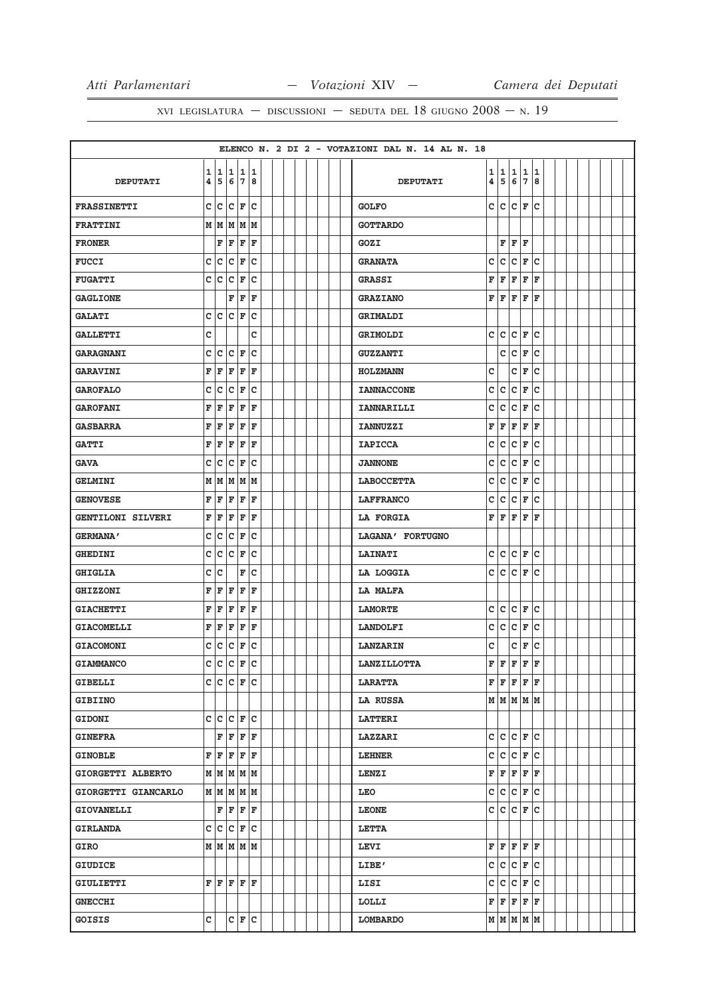|                     |                               |   |                 |             |             |  |  |  |  | ELENCO N. 2 DI 2 - VOTAZIONI DAL N. 14 AL N. 18 |   |                                                                                        |     |             |     |  |  |  |  |
|---------------------|-------------------------------|---|-----------------|-------------|-------------|--|--|--|--|-------------------------------------------------|---|----------------------------------------------------------------------------------------|-----|-------------|-----|--|--|--|--|
|                     | 1                             |   | 1 1             |             | 11          |  |  |  |  |                                                 | 1 | 1                                                                                      | 1   | 1           | 1   |  |  |  |  |
| <b>DEPUTATI</b>     | 4                             |   | 5678            |             |             |  |  |  |  | <b>DEPUTATI</b>                                 | 4 | 5                                                                                      | 6   | 7           | 8   |  |  |  |  |
| <b>FRASSINETTI</b>  | c                             | c | c               | F           | c           |  |  |  |  | <b>GOLFO</b>                                    | c | lc.                                                                                    | lc. | F           | ١c  |  |  |  |  |
| <b>FRATTINI</b>     | М                             | M | lм              | M  M        |             |  |  |  |  | <b>GOTTARDO</b>                                 |   |                                                                                        |     |             |     |  |  |  |  |
| <b>FRONER</b>       |                               | F | F               | F           | $\mathbf F$ |  |  |  |  | GOZI                                            |   | F                                                                                      | F   | F           |     |  |  |  |  |
| <b>FUCCI</b>        | c                             | c | c               | F           | c           |  |  |  |  | <b>GRANATA</b>                                  | c | lc.                                                                                    | c   | F           | lc  |  |  |  |  |
| <b>FUGATTI</b>      | c                             | c | C               | F           | C           |  |  |  |  | <b>GRASSI</b>                                   | F | F                                                                                      | F   | F           | F   |  |  |  |  |
| <b>GAGLIONE</b>     |                               |   | F               | F           | F           |  |  |  |  | <b>GRAZIANO</b>                                 | F | F                                                                                      | F   | F           | l F |  |  |  |  |
| <b>GALATI</b>       | c                             | c | c               | F           | C           |  |  |  |  | GRIMALDI                                        |   |                                                                                        |     |             |     |  |  |  |  |
| <b>GALLETTI</b>     | c                             |   |                 |             | C           |  |  |  |  | GRIMOLDI                                        | C | lc.                                                                                    | c   | F           | ١c  |  |  |  |  |
| <b>GARAGNANI</b>    | C                             | c | c               | F           | C           |  |  |  |  | <b>GUZZANTI</b>                                 |   | c                                                                                      | c   | F           | lc. |  |  |  |  |
| <b>GARAVINI</b>     | F                             | F | F               | F           | F           |  |  |  |  | HOLZMANN                                        | c |                                                                                        | c   | F           | c   |  |  |  |  |
| <b>GAROFALO</b>     | с                             | c | C               | F           | c           |  |  |  |  | <b>IANNACCONE</b>                               | с | c                                                                                      | c   | F           | Ιc  |  |  |  |  |
| <b>GAROFANI</b>     | F                             | F | F               | F           | $\mathbf F$ |  |  |  |  | <b>IANNARILLI</b>                               | c | c                                                                                      | c   | F           | lc  |  |  |  |  |
| <b>GASBARRA</b>     | F                             | F | F               | F           | F           |  |  |  |  | <b>IANNUZZI</b>                                 | F | F                                                                                      | F   | F           | l F |  |  |  |  |
| <b>GATTI</b>        | F                             | F | F               | F           | F           |  |  |  |  | <b>IAPICCA</b>                                  | c | c                                                                                      | c   | F           | Ιc  |  |  |  |  |
| <b>GAVA</b>         | c                             | c | c               | F           | C           |  |  |  |  | <b>JANNONE</b>                                  | c | c                                                                                      | c   | F           | c   |  |  |  |  |
| <b>GELMINI</b>      | М                             | M | M               | M           | M           |  |  |  |  | <b>LABOCCETTA</b>                               | c | lc.                                                                                    | c   | F           | c   |  |  |  |  |
| <b>GENOVESE</b>     | F                             | F | F               | F           | F           |  |  |  |  | <b>LAFFRANCO</b>                                | c | c                                                                                      | c   | F           | c   |  |  |  |  |
| GENTILONI SILVERI   | F                             | F | F               | F           | F           |  |  |  |  | LA FORGIA                                       | F | F                                                                                      | F   | F           | F   |  |  |  |  |
| <b>GERMANA'</b>     | C                             | C | C               | F           | C           |  |  |  |  | LAGANA' FORTUGNO                                |   |                                                                                        |     |             |     |  |  |  |  |
| <b>GHEDINI</b>      | c                             | C | c               | F           | C           |  |  |  |  | <b>LAINATI</b>                                  | c | lc.                                                                                    | lc. | F           | lc  |  |  |  |  |
| <b>GHIGLIA</b>      | с                             | c |                 | F           | c           |  |  |  |  | LA LOGGIA                                       | C | lc.                                                                                    | c   | F           | Ιc  |  |  |  |  |
| <b>GHIZZONI</b>     | F                             | F | F               | ΙF          | F           |  |  |  |  | LA MALFA                                        |   |                                                                                        |     |             |     |  |  |  |  |
| <b>GIACHETTI</b>    | F                             | F | F               | F           | F           |  |  |  |  | <b>LAMORTE</b>                                  | c | lc.                                                                                    | c   | F           | lc. |  |  |  |  |
| <b>GIACOMELLI</b>   | F                             | F | F               | F           | F           |  |  |  |  | <b>LANDOLFI</b>                                 | c | c                                                                                      | c   | F           | c   |  |  |  |  |
| <b>GIACOMONI</b>    | c                             | c | c               | F           | C           |  |  |  |  | <b>LANZARIN</b>                                 | C |                                                                                        | c   | F           | lc  |  |  |  |  |
| <b>GIAMMANCO</b>    | $\overset{\cdot}{\mathbf{C}}$ | c | $\mathbf c$     | F           | $\mathbf C$ |  |  |  |  | <b>LANZILLOTTA</b>                              | F | F                                                                                      | F   | $\mathbf F$ | F   |  |  |  |  |
| <b>GIBELLI</b>      |                               |   | $c c c _F c$    |             |             |  |  |  |  | <b>LARATTA</b>                                  |   | $\mathbf{F} \left  \mathbf{F} \right  \mathbf{F} \left  \mathbf{F} \right  \mathbf{F}$ |     |             |     |  |  |  |  |
| <b>GIBIINO</b>      |                               |   |                 |             |             |  |  |  |  | <b>LA RUSSA</b>                                 |   | M M M M M                                                                              |     |             |     |  |  |  |  |
| <b>GIDONI</b>       |                               |   | C C C F C       |             |             |  |  |  |  | <b>LATTERI</b>                                  |   |                                                                                        |     |             |     |  |  |  |  |
| <b>GINEFRA</b>      |                               |   | $F$ $F$ $F$ $F$ |             |             |  |  |  |  | <b>LAZZARI</b>                                  |   | c c c F c                                                                              |     |             |     |  |  |  |  |
| <b>GINOBLE</b>      | F                             | F |                 | F F F       |             |  |  |  |  | <b>LEHNER</b>                                   | с | c                                                                                      |     | $ c _F c$   |     |  |  |  |  |
| GIORGETTI ALBERTO   |                               |   | M M M M M       |             |             |  |  |  |  | LENZI                                           | F | F                                                                                      |     | $F$ $F$ $F$ |     |  |  |  |  |
| GIORGETTI GIANCARLO |                               |   | $M$ $M$ $M$ $M$ |             |             |  |  |  |  | LEO                                             | c | $ c c _F c$                                                                            |     |             |     |  |  |  |  |
| <b>GIOVANELLI</b>   |                               |   | F F F F         |             |             |  |  |  |  | <b>LEONE</b>                                    |   | c c                                                                                    |     | $ c _F$     | lc  |  |  |  |  |
| <b>GIRLANDA</b>     |                               |   | C C C F C       |             |             |  |  |  |  | <b>LETTA</b>                                    |   |                                                                                        |     |             |     |  |  |  |  |
| <b>GIRO</b>         |                               |   | M   M   M   M   |             |             |  |  |  |  | <b>LEVI</b>                                     | F | F                                                                                      |     | F F F       |     |  |  |  |  |
| <b>GIUDICE</b>      |                               |   |                 |             |             |  |  |  |  | LIBE'                                           |   | c c c F c                                                                              |     |             |     |  |  |  |  |
| GIULIETTI           |                               |   | F F F F F       |             |             |  |  |  |  | LISI                                            | c | c                                                                                      |     | $ c _F c$   |     |  |  |  |  |
| <b>GNECCHI</b>      |                               |   |                 |             |             |  |  |  |  | LOLLI                                           |   | F F F F F                                                                              |     |             |     |  |  |  |  |
| GOISIS              | c                             |   |                 | $C$ $F$ $C$ |             |  |  |  |  | LOMBARDO                                        |   | $M$ $M$ $M$ $M$                                                                        |     |             |     |  |  |  |  |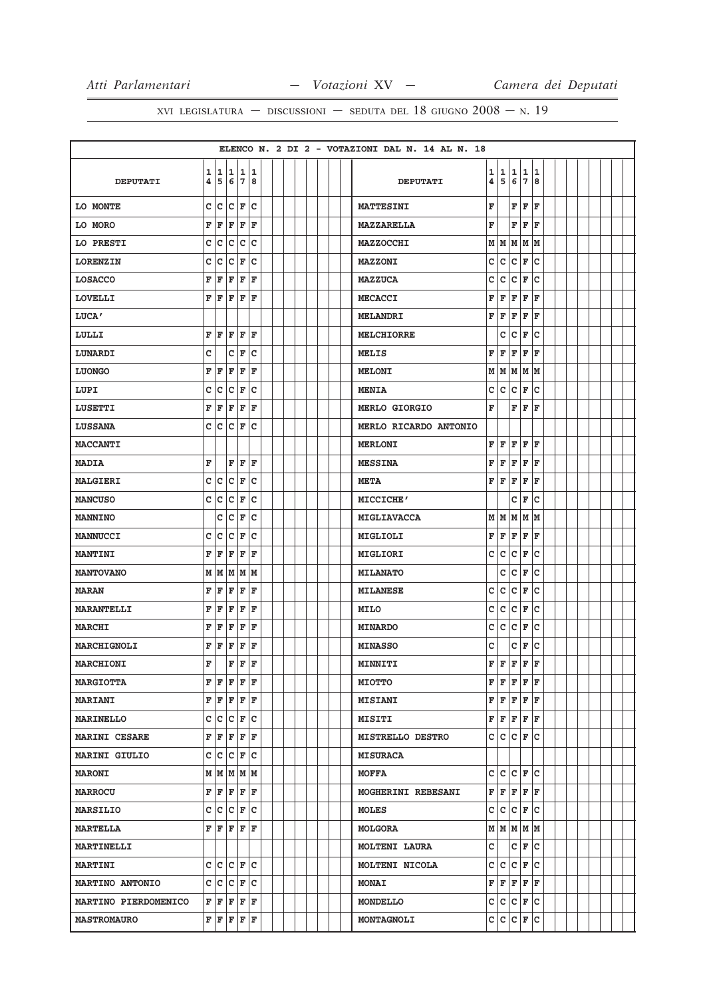|                        |              |             |                                                                                        |                      |             |  |  |  |  | ELENCO N. 2 DI 2 - VOTAZIONI DAL N. 14 AL N. 18 |   |                                                   |   |             |                     |  |  |  |  |
|------------------------|--------------|-------------|----------------------------------------------------------------------------------------|----------------------|-------------|--|--|--|--|-------------------------------------------------|---|---------------------------------------------------|---|-------------|---------------------|--|--|--|--|
|                        | 1            |             | 1 1                                                                                    |                      | 11          |  |  |  |  |                                                 | 1 | 1                                                 | 1 | 1           | 1                   |  |  |  |  |
| <b>DEPUTATI</b>        | 4            |             | 5678                                                                                   |                      |             |  |  |  |  | <b>DEPUTATI</b>                                 | 4 | 5                                                 | 6 | 7           | 8                   |  |  |  |  |
| LO MONTE               | $\mathbf{C}$ | c           | c                                                                                      | F                    | c           |  |  |  |  | <b>MATTESINI</b>                                | F |                                                   | F | F           | F                   |  |  |  |  |
| LO MORO                | F            | F           | F                                                                                      | F                    | F           |  |  |  |  | <b>MAZZARELLA</b>                               | F |                                                   | F | F           | F                   |  |  |  |  |
| LO PRESTI              | c            | c           | c                                                                                      | c                    | C           |  |  |  |  | <b>MAZZOCCHI</b>                                | М | M                                                 | M | M           | M                   |  |  |  |  |
| <b>LORENZIN</b>        | с            | c           | C                                                                                      | F                    | c           |  |  |  |  | <b>MAZZONI</b>                                  | c | lc.                                               | c | F           | Ιc                  |  |  |  |  |
| <b>LOSACCO</b>         | F            | F           | F                                                                                      | F                    | $\mathbf F$ |  |  |  |  | <b>MAZZUCA</b>                                  | C | c                                                 | c | F           | lc                  |  |  |  |  |
| <b>LOVELLI</b>         | F            | F           | F                                                                                      | F                    | l F         |  |  |  |  | <b>MECACCI</b>                                  | F | F                                                 | F | F           | ΙF                  |  |  |  |  |
| LUCA'                  |              |             |                                                                                        |                      |             |  |  |  |  | <b>MELANDRI</b>                                 | F | F                                                 | F | F           | F                   |  |  |  |  |
| LULLI                  | F            | İF          | F                                                                                      | F                    | ΙF          |  |  |  |  | MELCHIORRE                                      |   | c                                                 | c | F           | c                   |  |  |  |  |
| LUNARDI                | C            |             | c                                                                                      | F                    | c           |  |  |  |  | MELIS                                           | F | F                                                 | F | F           | F                   |  |  |  |  |
| <b>LUONGO</b>          | F            | F           | F                                                                                      | F                    | F           |  |  |  |  | <b>MELONI</b>                                   | M | M                                                 | M | M           | M                   |  |  |  |  |
| LUPI                   | с            | c           | c                                                                                      | F                    | C           |  |  |  |  | <b>MENIA</b>                                    | c | lc.                                               | c | F           | Ιc                  |  |  |  |  |
| LUSETTI                | F            | F           | F                                                                                      | F                    | $\mathbf F$ |  |  |  |  | MERLO GIORGIO                                   | F |                                                   | F | F           | F                   |  |  |  |  |
| <b>LUSSANA</b>         | c            | lc.         | c                                                                                      | F                    | C           |  |  |  |  | MERLO RICARDO ANTONIO                           |   |                                                   |   |             |                     |  |  |  |  |
| <b>MACCANTI</b>        |              |             |                                                                                        |                      |             |  |  |  |  | <b>MERLONI</b>                                  | F | F                                                 | F | F           | ΙF                  |  |  |  |  |
| <b>MADIA</b>           | F            |             | F                                                                                      | İF                   | ΙF          |  |  |  |  | <b>MESSINA</b>                                  | F | F                                                 | F | F           | F                   |  |  |  |  |
| MALGIERI               | с            | c           | c                                                                                      | F                    | c           |  |  |  |  | <b>META</b>                                     | F | F                                                 | F | F           | F                   |  |  |  |  |
| <b>MANCUSO</b>         | c            | с           | с                                                                                      | F                    | с           |  |  |  |  | MICCICHE'                                       |   |                                                   | с | F           | c                   |  |  |  |  |
| <b>MANNINO</b>         |              | c           | C                                                                                      | F                    | c           |  |  |  |  | MIGLIAVACCA                                     | M | M                                                 | M | M           | M                   |  |  |  |  |
| <b>MANNUCCI</b>        | c            | C           | C                                                                                      | F                    | C           |  |  |  |  | MIGLIOLI                                        | F | F                                                 | F | F           | F                   |  |  |  |  |
| <b>MANTINI</b>         | F            | F           | F                                                                                      | ΙF                   | F           |  |  |  |  | MIGLIORI                                        | c | lc.                                               | c | F           | c                   |  |  |  |  |
| <b>MANTOVANO</b>       | М            | M           | M                                                                                      |                      | MM          |  |  |  |  | <b>MILANATO</b>                                 |   | c                                                 | c | F           | Ιc                  |  |  |  |  |
| <b>MARAN</b>           | F            | ΙF          | F                                                                                      | ΙF                   | F           |  |  |  |  | <b>MILANESE</b>                                 | c | c                                                 | c | F           | c                   |  |  |  |  |
| <b>MARANTELLI</b>      | F            | F           | F                                                                                      | F                    | F           |  |  |  |  | MILO                                            | c | lc.                                               | c | F           | c                   |  |  |  |  |
| <b>MARCHI</b>          | F            | F           | F                                                                                      | F                    | F           |  |  |  |  | <b>MINARDO</b>                                  | с | c                                                 | c | F           | c                   |  |  |  |  |
| MARCHIGNOLI            | F            | F           | F                                                                                      | F                    | F           |  |  |  |  | <b>MINASSO</b>                                  | C |                                                   | c | F           | lc                  |  |  |  |  |
| <b>MARCHIONI</b>       | F            |             | $\overline{\mathbf{F}}$                                                                | F                    | F           |  |  |  |  | MINNITI                                         | F | F                                                 | F | $\mathbf F$ | F                   |  |  |  |  |
| <b>MARGIOTTA</b>       |              |             | F F F F F                                                                              |                      |             |  |  |  |  | <b>MIOTTO</b>                                   |   | F F F F F                                         |   |             |                     |  |  |  |  |
| <b>MARIANI</b>         |              |             | F F F F F                                                                              |                      |             |  |  |  |  | <b>MISIANI</b>                                  |   | ${\bf F}$ $\bf [F]$ ${\bf F}$ $\bf [F]$ ${\bf F}$ |   |             |                     |  |  |  |  |
| <b>MARINELLO</b>       |              |             | C C C F C                                                                              |                      |             |  |  |  |  | <b>MISITI</b>                                   | F | F F F F                                           |   |             |                     |  |  |  |  |
| <b>MARINI CESARE</b>   |              |             | F F F F F                                                                              |                      |             |  |  |  |  | MISTRELLO DESTRO                                |   | C C C F C                                         |   |             |                     |  |  |  |  |
| <b>MARINI GIULIO</b>   | c            | $ {\bf c} $ |                                                                                        | $ {\tt C}  {\tt F} $ | Iс          |  |  |  |  | <b>MISURACA</b>                                 |   |                                                   |   |             |                     |  |  |  |  |
| <b>MARONI</b>          |              |             | $M$ $M$ $M$ $M$ $M$                                                                    |                      |             |  |  |  |  | <b>MOFFA</b>                                    | c | $ c c _F c$                                       |   |             |                     |  |  |  |  |
| <b>MARROCU</b>         |              |             | F F F F F                                                                              |                      |             |  |  |  |  | MOGHERINI REBESANI                              |   | F F F F F                                         |   |             |                     |  |  |  |  |
| <b>MARSILIO</b>        |              |             | C C C F C                                                                              |                      |             |  |  |  |  | <b>MOLES</b>                                    | c | $ c c _F c$                                       |   |             |                     |  |  |  |  |
| <b>MARTELLA</b>        | F            |             | $F$ $F$ $F$ $F$                                                                        |                      |             |  |  |  |  | <b>MOLGORA</b>                                  |   | M   M   M   M                                     |   |             |                     |  |  |  |  |
| <b>MARTINELLI</b>      |              |             |                                                                                        |                      |             |  |  |  |  | <b>MOLTENI LAURA</b>                            | c |                                                   |   |             | $C \vert F \vert C$ |  |  |  |  |
| <b>MARTINI</b>         |              |             | $c c c _F c$                                                                           |                      |             |  |  |  |  | MOLTENI NICOLA                                  |   | C C C F C                                         |   |             |                     |  |  |  |  |
| <b>MARTINO ANTONIO</b> | c            |             | C C F C                                                                                |                      |             |  |  |  |  | <b>MONAI</b>                                    | F | F F F F                                           |   |             |                     |  |  |  |  |
| MARTINO PIERDOMENICO   |              |             | F F F F F                                                                              |                      |             |  |  |  |  | MONDELLO                                        |   | c c c F c                                         |   |             |                     |  |  |  |  |
| <b>MASTROMAURO</b>     |              |             | $\mathbf{F} \left  \mathbf{F} \right  \mathbf{F} \left  \mathbf{F} \right  \mathbf{F}$ |                      |             |  |  |  |  | MONTAGNOLI                                      |   | C C C F C                                         |   |             |                     |  |  |  |  |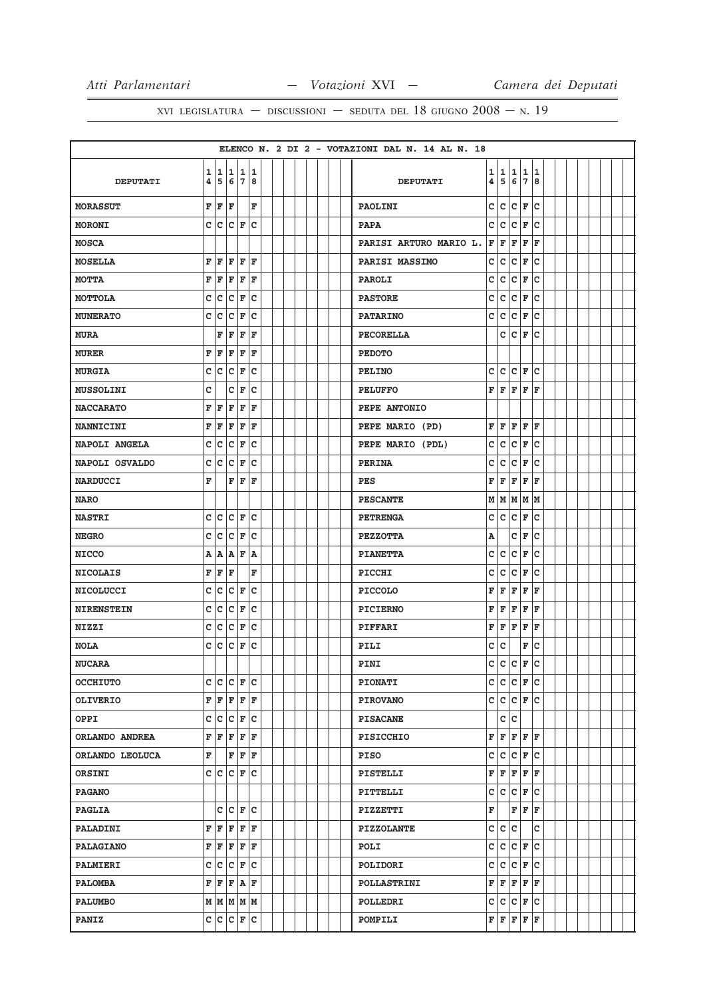|                   |        |    |           |               |     |  |  |  |  | ELENCO N. 2 DI 2 - VOTAZIONI DAL N. 14 AL N. 18                                                       |  |
|-------------------|--------|----|-----------|---------------|-----|--|--|--|--|-------------------------------------------------------------------------------------------------------|--|
| <b>DEPUTATI</b>   | 1<br>4 |    | 1 1       | 5 6 7 8       | 1 1 |  |  |  |  | $\mathbf{1}$<br>1 1<br>1<br>1<br>$\overline{\mathbf{4}}$<br>5<br>6<br>7<br>8<br><b>DEPUTATI</b>       |  |
| <b>MORASSUT</b>   | F      | F  | F         |               | F   |  |  |  |  | c<br>lc.<br>c<br>F<br>c<br><b>PAOLINI</b>                                                             |  |
| <b>MORONI</b>     |        |    | C C C F   |               | lc  |  |  |  |  | c<br>lc.<br>F<br>lc<br>c<br><b>PAPA</b>                                                               |  |
| <b>MOSCA</b>      |        |    |           |               |     |  |  |  |  | F<br>F<br>F<br>F<br>F<br>PARISI ARTURO MARIO L.                                                       |  |
| <b>MOSELLA</b>    | F      | F  | F         | F             | l F |  |  |  |  | c<br>c<br>lc.<br>F<br>c<br>PARISI MASSIMO                                                             |  |
| <b>MOTTA</b>      | F      | F  | F         | F             | ΙF  |  |  |  |  | c<br>lc.<br>Iс<br>F<br>١c<br>PAROLI                                                                   |  |
| <b>MOTTOLA</b>    | C      | c  | c         | F             | C   |  |  |  |  | C<br>c<br>F<br>c<br>c<br><b>PASTORE</b>                                                               |  |
| <b>MUNERATO</b>   | C      | c  | c         | F             | c   |  |  |  |  | C<br> c<br>F<br>lc.<br>lc.<br><b>PATARINO</b>                                                         |  |
| <b>MURA</b>       |        | F  | F         | F             | F   |  |  |  |  | Iс<br>F<br>c<br>c<br><b>PECORELLA</b>                                                                 |  |
| <b>MURER</b>      | F      | F  | F         | F             | l F |  |  |  |  | <b>PEDOTO</b>                                                                                         |  |
| <b>MURGIA</b>     | c      | c  | C         | F             | C   |  |  |  |  | C<br>lc.<br>lc.<br>F<br>lc<br><b>PELINO</b>                                                           |  |
| <b>MUSSOLINI</b>  | c      |    | C         | F             | C   |  |  |  |  | lF.<br>F<br>F<br>F<br>ΙF<br><b>PELUFFO</b>                                                            |  |
| <b>NACCARATO</b>  | F      | F  | F         | F             | ΙF  |  |  |  |  | PEPE ANTONIO                                                                                          |  |
| <b>NANNICINI</b>  | F      | ΙF | F         | F             | F   |  |  |  |  | F<br>F<br>F<br>F<br>F<br>PEPE MARIO (PD)                                                              |  |
| NAPOLI ANGELA     | C      | c  | c         | F             | lc  |  |  |  |  | C<br>lc.<br>lc.<br>F<br>lc.<br>PEPE MARIO (PDL)                                                       |  |
| NAPOLI OSVALDO    | c      | Iс | c         | F             | c   |  |  |  |  | C<br>c<br>c<br>F<br>c<br><b>PERINA</b>                                                                |  |
| <b>NARDUCCI</b>   | F      |    | F         | F             | l F |  |  |  |  | F<br>F<br>F<br>l F<br>F<br><b>PES</b>                                                                 |  |
| <b>NARO</b>       |        |    |           |               |     |  |  |  |  | М<br>MMMM<br><b>PESCANTE</b>                                                                          |  |
| <b>NASTRI</b>     | c      |    | $ C C $ F |               | c   |  |  |  |  | c<br>lc.<br>lc.<br>F<br>١c<br><b>PETRENGA</b>                                                         |  |
| <b>NEGRO</b>      | C      | c  | c         | F             | c   |  |  |  |  | c<br>F<br>lc<br><b>PEZZOTTA</b><br>Α                                                                  |  |
| <b>NICCO</b>      | Α      | A  | A         | ΙF            | ۱A  |  |  |  |  | c<br>F<br>c<br>c<br>lc.<br><b>PIANETTA</b>                                                            |  |
| <b>NICOLAIS</b>   | F      | F  | F         |               | F   |  |  |  |  | lc.<br>c<br>lc.<br>F<br>١c<br>PICCHI                                                                  |  |
| NICOLUCCI         | c      | c  | c         | F             | C   |  |  |  |  | F<br>F<br>F<br>F<br>ΙF<br><b>PICCOLO</b>                                                              |  |
| <b>NIRENSTEIN</b> | c      | c  | c         | F             | C   |  |  |  |  | F<br>F<br>F<br>F<br>F<br><b>PICIERNO</b>                                                              |  |
| <b>NIZZI</b>      | c      | c  | c         | F             | c   |  |  |  |  | F<br>F<br>F<br>F<br>F<br><b>PIFFARI</b>                                                               |  |
| <b>NOLA</b>       | c      | Iс | c         | F             | c   |  |  |  |  | c<br>١c<br>F<br>١c<br>PILI                                                                            |  |
| <b>NUCARA</b>     |        |    |           |               |     |  |  |  |  | c c<br>$\mathbf{C}$<br><b>R</b><br>$\mathsf{r}$<br>PINI                                               |  |
| <b>OCCHIUTO</b>   |        |    |           | $c c c _F c$  |     |  |  |  |  | $c c c _F c$<br><b>PIONATI</b>                                                                        |  |
| <b>OLIVERIO</b>   |        |    |           | F F F F F     |     |  |  |  |  | C C C F C<br><b>PIROVANO</b>                                                                          |  |
| OPPI              |        |    |           | C C C F C     |     |  |  |  |  | c<br> c <br><b>PISACANE</b>                                                                           |  |
| ORLANDO ANDREA    |        |    |           | F F F F F     |     |  |  |  |  | $\mathbf{F} \,   \, \mathbf{F} \,   \, \mathbf{F} \,   \, \mathbf{F} \,   \, \mathbf{F}$<br>PISICCHIO |  |
| ORLANDO LEOLUCA   | F      |    |           | F F F         |     |  |  |  |  | $ C $ $\mathbf{F}$ $ C $<br>c<br> c<br>PISO                                                           |  |
| ORSINI            |        |    |           | C C C F C     |     |  |  |  |  | FF<br> F F F<br>PISTELLI                                                                              |  |
| <b>PAGANO</b>     |        |    |           |               |     |  |  |  |  | C C C F C<br>PITTELLI                                                                                 |  |
| <b>PAGLIA</b>     |        |    |           | $ c c _F c$   |     |  |  |  |  | F<br>F F F<br>PIZZETTI                                                                                |  |
| <b>PALADINI</b>   |        |    |           | F F F F F     |     |  |  |  |  | c<br> c c<br>c<br><b>PIZZOLANTE</b>                                                                   |  |
| <b>PALAGIANO</b>  | F      | F  |           | F F F         |     |  |  |  |  | c<br> c<br>$ c _F$<br>lc.<br>POLI                                                                     |  |
| <b>PALMIERI</b>   |        |    |           | c c c F c     |     |  |  |  |  | $ c c _F c$<br>c<br>POLIDORI                                                                          |  |
| <b>PALOMBA</b>    |        |    |           | F F F A F     |     |  |  |  |  | F F F F F<br><b>POLLASTRINI</b>                                                                       |  |
| <b>PALUMBO</b>    |        |    |           | M   M   M   M |     |  |  |  |  | C C C F C<br>POLLEDRI                                                                                 |  |
| <b>PANIZ</b>      |        |    |           | C C C F C     |     |  |  |  |  | $\mathbf{F} \left  \mathbf{F} \right  \mathbf{F} \left  \mathbf{F} \right  \mathbf{F}$<br>POMPILI     |  |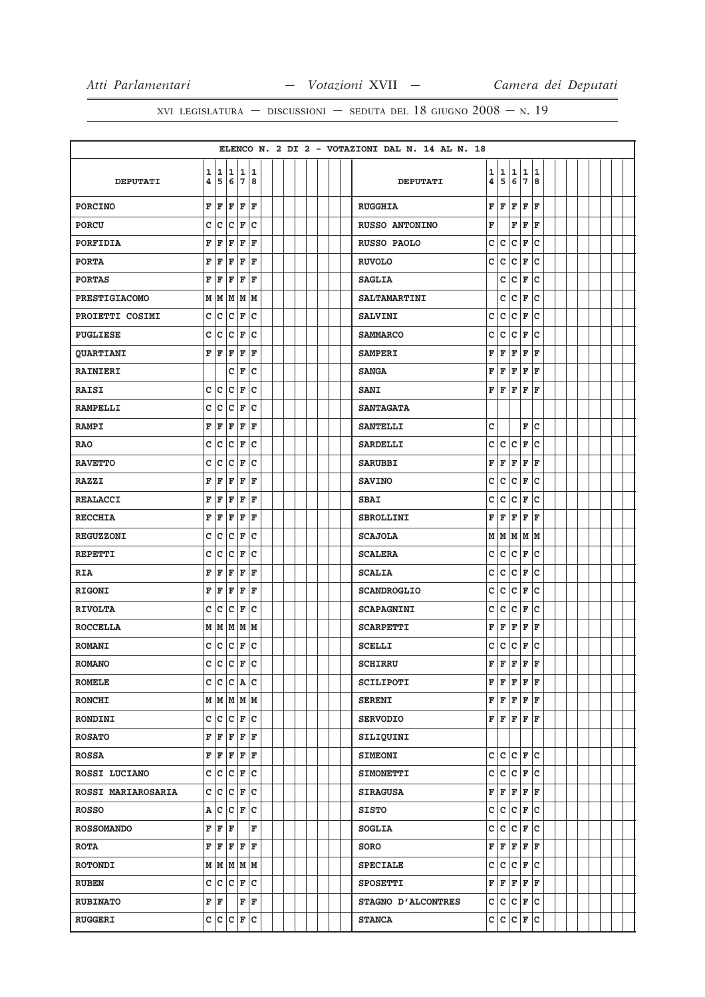|                      |              |                         |                                                                                        |                    |               |  |  |  |  | ELENCO N. 2 DI 2 - VOTAZIONI DAL N. 14 AL N. 18 |   |                 |     |                    |    |  |  |  |  |
|----------------------|--------------|-------------------------|----------------------------------------------------------------------------------------|--------------------|---------------|--|--|--|--|-------------------------------------------------|---|-----------------|-----|--------------------|----|--|--|--|--|
|                      | 1            |                         | 11                                                                                     |                    | 11            |  |  |  |  |                                                 | 1 | 1               | 1   | $\mathbf{1}$       | 1  |  |  |  |  |
| <b>DEPUTATI</b>      | 4            |                         | 5678                                                                                   |                    |               |  |  |  |  | <b>DEPUTATI</b>                                 | 4 | 5               | 6   | 7                  | 8  |  |  |  |  |
| <b>PORCINO</b>       | F            | F                       | F                                                                                      | F                  | F             |  |  |  |  | <b>RUGGHIA</b>                                  | F | ΙF              | F   | F                  | F  |  |  |  |  |
| <b>PORCU</b>         | C            | c                       | $\overline{c}$                                                                         | F                  | lc            |  |  |  |  | <b>RUSSO ANTONINO</b>                           | F |                 | F   | F                  | F  |  |  |  |  |
| PORFIDIA             | F            | F                       | F                                                                                      | F                  | F             |  |  |  |  | RUSSO PAOLO                                     | c | c               | c   | F                  | c  |  |  |  |  |
| <b>PORTA</b>         | F            | F                       | F                                                                                      | F                  | F             |  |  |  |  | <b>RUVOLO</b>                                   | C | c               | c   | F                  | lc |  |  |  |  |
| <b>PORTAS</b>        | F            | F                       | F                                                                                      | F                  | F             |  |  |  |  | <b>SAGLIA</b>                                   |   | c               | c   | F                  | lc |  |  |  |  |
| <b>PRESTIGIACOMO</b> | М            | M                       | M                                                                                      | lм                 | M             |  |  |  |  | <b>SALTAMARTINI</b>                             |   | c               | c   | F                  | c  |  |  |  |  |
| PROIETTI COSIMI      | $\mathtt{C}$ | c                       | c                                                                                      | F                  | c             |  |  |  |  | <b>SALVINI</b>                                  | c | c               | c   | F                  | ١c |  |  |  |  |
| <b>PUGLIESE</b>      | c            | c                       | c                                                                                      | F                  | c             |  |  |  |  | <b>SAMMARCO</b>                                 | C | c               | C   | F                  | c  |  |  |  |  |
| <b>QUARTIANI</b>     | F            | F                       | F                                                                                      | F                  | l F           |  |  |  |  | <b>SAMPERI</b>                                  | F | F               | F   | F                  | F  |  |  |  |  |
| <b>RAINIERI</b>      |              |                         | с                                                                                      | F                  | c             |  |  |  |  | <b>SANGA</b>                                    | F | F               | F   | F                  | F  |  |  |  |  |
| <b>RAISI</b>         | c            | $\overline{\mathsf{c}}$ | c                                                                                      | F                  | C             |  |  |  |  | <b>SANI</b>                                     | F | F               | F   | F                  | F  |  |  |  |  |
| <b>RAMPELLI</b>      | c            | c                       | C                                                                                      | F                  | C             |  |  |  |  | <b>SANTAGATA</b>                                |   |                 |     |                    |    |  |  |  |  |
| <b>RAMPI</b>         | F            | F                       | F                                                                                      | F                  | ΙF            |  |  |  |  | <b>SANTELLI</b>                                 | C |                 |     | F                  | lc |  |  |  |  |
| <b>RAO</b>           | c            | c                       | c                                                                                      | F                  | c             |  |  |  |  | <b>SARDELLI</b>                                 | c | lc.             | c   | F                  | Ιc |  |  |  |  |
| <b>RAVETTO</b>       | C            | C                       | c                                                                                      | F                  | C             |  |  |  |  | <b>SARUBBI</b>                                  | F | F               | F   | F                  | F  |  |  |  |  |
| <b>RAZZI</b>         | F            | F                       | F                                                                                      | F                  | F             |  |  |  |  | <b>SAVINO</b>                                   | с | lc.             | Iс  | F                  | ١c |  |  |  |  |
| <b>REALACCI</b>      | F            | F                       | F                                                                                      | F                  | F             |  |  |  |  | <b>SBAI</b>                                     | c | lc.             | c   | $\mathbf F$        | c  |  |  |  |  |
| <b>RECCHIA</b>       | F            | F                       | F                                                                                      | F                  | F             |  |  |  |  | <b>SBROLLINI</b>                                | F | F               | F   | F                  | F  |  |  |  |  |
| <b>REGUZZONI</b>     | c            | C                       | C                                                                                      | F                  | C             |  |  |  |  | <b>SCAJOLA</b>                                  | M | MMMM            |     |                    |    |  |  |  |  |
| <b>REPETTI</b>       | c            | c                       | c                                                                                      | ΙF                 | C             |  |  |  |  | <b>SCALERA</b>                                  | C | lc.             | Iс  | F                  | ١c |  |  |  |  |
| <b>RIA</b>           | F            | F                       | F                                                                                      | F                  | F             |  |  |  |  | <b>SCALIA</b>                                   | c | lc.             | c   | F                  | lc |  |  |  |  |
| <b>RIGONI</b>        | F            | ΙF                      | F                                                                                      | F                  | F             |  |  |  |  | <b>SCANDROGLIO</b>                              | c | lc.             | lc. | F                  | c  |  |  |  |  |
| <b>RIVOLTA</b>       | с            | c                       | c                                                                                      | F                  | c             |  |  |  |  | <b>SCAPAGNINI</b>                               | c | lc.             | c   | F                  | lc |  |  |  |  |
| <b>ROCCELLA</b>      |              | мIм                     | M                                                                                      |                    | MM            |  |  |  |  | <b>SCARPETTI</b>                                | F | F               | F   | F                  | F  |  |  |  |  |
| <b>ROMANI</b>        | c            | c                       | $\overline{c}$                                                                         | F                  | c             |  |  |  |  | <b>SCELLI</b>                                   | c | lc.             | c   | F                  | c  |  |  |  |  |
| <b>ROMANO</b>        | C.           | $\overline{\mathsf{c}}$ |                                                                                        | $ c _{\mathbf{F}}$ | ic.           |  |  |  |  | <b>SCHIRRU</b>                                  | F | F               | F   | $\hat{\mathbf{F}}$ | F  |  |  |  |  |
| <b>ROMELE</b>        |              |                         | C C C A C                                                                              |                    |               |  |  |  |  | <b>SCILIPOTI</b>                                |   | FF              |     | F F F              |    |  |  |  |  |
| <b>RONCHI</b>        |              |                         | $M$ $M$ $M$ $M$                                                                        |                    |               |  |  |  |  | <b>SERENI</b>                                   |   | F F F F F       |     |                    |    |  |  |  |  |
| <b>RONDINI</b>       |              |                         | C C C F C                                                                              |                    |               |  |  |  |  | <b>SERVODIO</b>                                 |   | FF              |     | F F F              |    |  |  |  |  |
| <b>ROSATO</b>        |              |                         | $\mathbf{F} \left  \mathbf{F} \right  \mathbf{F} \left  \mathbf{F} \right  \mathbf{F}$ |                    |               |  |  |  |  | SILIQUINI                                       |   |                 |     |                    |    |  |  |  |  |
| <b>ROSSA</b>         | F            |                         | $F$ $F$ $F$ $F$                                                                        |                    |               |  |  |  |  | <b>SIMEONI</b>                                  |   | C C C F C       |     |                    |    |  |  |  |  |
| ROSSI LUCIANO        |              |                         | c c c F c                                                                              |                    |               |  |  |  |  | <b>SIMONETTI</b>                                | c | $ c c _F c$     |     |                    |    |  |  |  |  |
| ROSSI MARIAROSARIA   |              |                         | $c c c _F c$                                                                           |                    |               |  |  |  |  | <b>SIRAGUSA</b>                                 |   | F F F F F       |     |                    |    |  |  |  |  |
| <b>ROSSO</b>         | Α            |                         | $ c c _F c$                                                                            |                    |               |  |  |  |  | <b>SISTO</b>                                    | c | C C F C         |     |                    |    |  |  |  |  |
| <b>ROSSOMANDO</b>    | $\mathbf{F}$ |                         | F F                                                                                    |                    | F             |  |  |  |  | <b>SOGLIA</b>                                   | c | $ c c _F c$     |     |                    |    |  |  |  |  |
| <b>ROTA</b>          | F            | F                       |                                                                                        | $F$ $F$ $F$        |               |  |  |  |  | SORO                                            | F | F               |     | F F F              |    |  |  |  |  |
| <b>ROTONDI</b>       |              |                         | M   M   M   M                                                                          |                    |               |  |  |  |  | <b>SPECIALE</b>                                 | c | $ c c _F c$     |     |                    |    |  |  |  |  |
| <b>RUBEN</b>         |              |                         | c c c F c                                                                              |                    |               |  |  |  |  | <b>SPOSETTI</b>                                 | F | $F$ $F$ $F$ $F$ |     |                    |    |  |  |  |  |
| <b>RUBINATO</b>      |              | F F                     |                                                                                        |                    | $ {\tt F} $ F |  |  |  |  |                                                 |   | c c c F c       |     |                    |    |  |  |  |  |
|                      |              |                         |                                                                                        |                    |               |  |  |  |  | STAGNO D'ALCONTRES                              |   |                 |     |                    |    |  |  |  |  |
| <b>RUGGERI</b>       |              |                         | c c c F c                                                                              |                    |               |  |  |  |  | <b>STANCA</b>                                   |   | C C C F C       |     |                    |    |  |  |  |  |